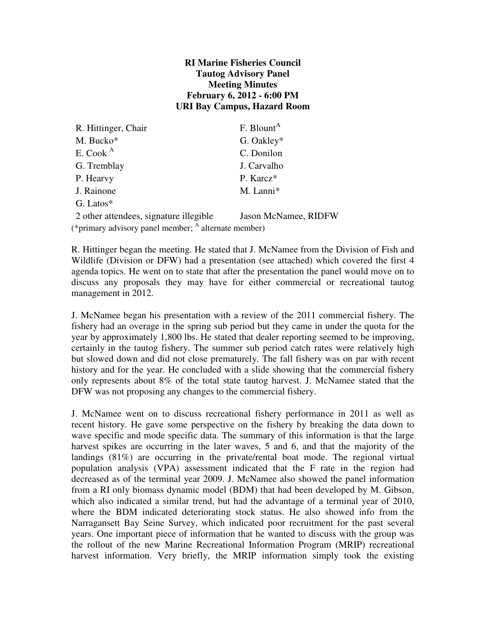#### **RI Marine Fisheries Council Tautog Advisory Panel Meeting Minutes February 6, 2012 - 6:00 PM URI Bay Campus, Hazard Room**

| R. Hittinger, Chair                                             | F. Blount <sup>A</sup> |  |
|-----------------------------------------------------------------|------------------------|--|
| M. Bucko*                                                       | G. Oakley*             |  |
| E. Cook $A$                                                     | C. Donilon             |  |
| G. Tremblay                                                     | J. Carvalho            |  |
| P. Hearvy                                                       | P. Karcz*              |  |
| J. Rainone                                                      | M. Lanni*              |  |
| G. Latos*                                                       |                        |  |
| 2 other attendees, signature illegible                          | Jason McNamee, RIDFW   |  |
| (*primary advisory panel member; <sup>A</sup> alternate member) |                        |  |

R. Hittinger began the meeting. He stated that J. McNamee from the Division of Fish and Wildlife (Division or DFW) had a presentation (see attached) which covered the first 4 agenda topics. He went on to state that after the presentation the panel would move on to discuss any proposals they may have for either commercial or recreational tautog management in 2012.

J. McNamee began his presentation with a review of the 2011 commercial fishery. The fishery had an overage in the spring sub period but they came in under the quota for the year by approximately 1,800 lbs. He stated that dealer reporting seemed to be improving, certainly in the tautog fishery. The summer sub period catch rates were relatively high but slowed down and did not close prematurely. The fall fishery was on par with recent history and for the year. He concluded with a slide showing that the commercial fishery only represents about 8% of the total state tautog harvest. J. McNamee stated that the DFW was not proposing any changes to the commercial fishery.

J. McNamee went on to discuss recreational fishery performance in 2011 as well as recent history. He gave some perspective on the fishery by breaking the data down to wave specific and mode specific data. The summary of this information is that the large harvest spikes are occurring in the later waves, 5 and 6, and that the majority of the landings (81%) are occurring in the private/rental boat mode. The regional virtual population analysis (VPA) assessment indicated that the F rate in the region had decreased as of the terminal year 2009. J. McNamee also showed the panel information from a RI only biomass dynamic model (BDM) that had been developed by M. Gibson, which also indicated a similar trend, but had the advantage of a terminal year of 2010, where the BDM indicated deteriorating stock status. He also showed info from the Narragansett Bay Seine Survey, which indicated poor recruitment for the past several years. One important piece of information that he wanted to discuss with the group was the rollout of the new Marine Recreational Information Program (MRIP) recreational harvest information. Very briefly, the MRIP information simply took the existing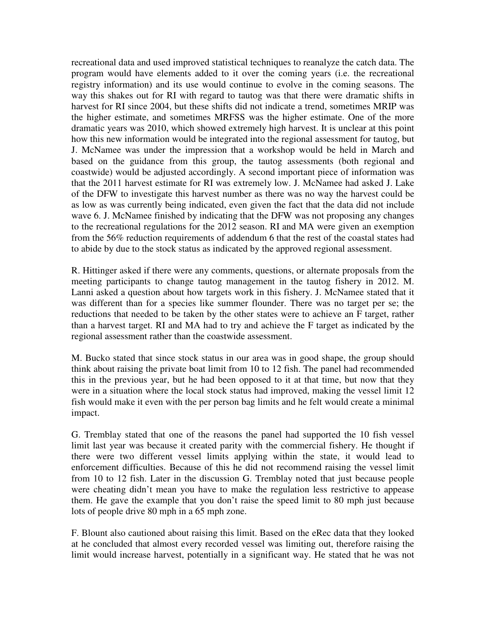recreational data and used improved statistical techniques to reanalyze the catch data. The program would have elements added to it over the coming years (i.e. the recreational registry information) and its use would continue to evolve in the coming seasons. The way this shakes out for RI with regard to tautog was that there were dramatic shifts in harvest for RI since 2004, but these shifts did not indicate a trend, sometimes MRIP was the higher estimate, and sometimes MRFSS was the higher estimate. One of the more dramatic years was 2010, which showed extremely high harvest. It is unclear at this point how this new information would be integrated into the regional assessment for tautog, but J. McNamee was under the impression that a workshop would be held in March and based on the guidance from this group, the tautog assessments (both regional and coastwide) would be adjusted accordingly. A second important piece of information was that the 2011 harvest estimate for RI was extremely low. J. McNamee had asked J. Lake of the DFW to investigate this harvest number as there was no way the harvest could be as low as was currently being indicated, even given the fact that the data did not include wave 6. J. McNamee finished by indicating that the DFW was not proposing any changes to the recreational regulations for the 2012 season. RI and MA were given an exemption from the 56% reduction requirements of addendum 6 that the rest of the coastal states had to abide by due to the stock status as indicated by the approved regional assessment.

R. Hittinger asked if there were any comments, questions, or alternate proposals from the meeting participants to change tautog management in the tautog fishery in 2012. M. Lanni asked a question about how targets work in this fishery. J. McNamee stated that it was different than for a species like summer flounder. There was no target per se; the reductions that needed to be taken by the other states were to achieve an F target, rather than a harvest target. RI and MA had to try and achieve the F target as indicated by the regional assessment rather than the coastwide assessment.

M. Bucko stated that since stock status in our area was in good shape, the group should think about raising the private boat limit from 10 to 12 fish. The panel had recommended this in the previous year, but he had been opposed to it at that time, but now that they were in a situation where the local stock status had improved, making the vessel limit 12 fish would make it even with the per person bag limits and he felt would create a minimal impact.

G. Tremblay stated that one of the reasons the panel had supported the 10 fish vessel limit last year was because it created parity with the commercial fishery. He thought if there were two different vessel limits applying within the state, it would lead to enforcement difficulties. Because of this he did not recommend raising the vessel limit from 10 to 12 fish. Later in the discussion G. Tremblay noted that just because people were cheating didn't mean you have to make the regulation less restrictive to appease them. He gave the example that you don't raise the speed limit to 80 mph just because lots of people drive 80 mph in a 65 mph zone.

F. Blount also cautioned about raising this limit. Based on the eRec data that they looked at he concluded that almost every recorded vessel was limiting out, therefore raising the limit would increase harvest, potentially in a significant way. He stated that he was not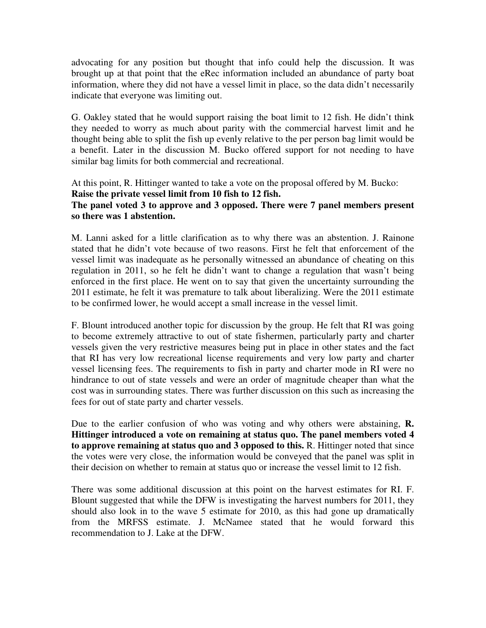advocating for any position but thought that info could help the discussion. It was brought up at that point that the eRec information included an abundance of party boat information, where they did not have a vessel limit in place, so the data didn't necessarily indicate that everyone was limiting out.

G. Oakley stated that he would support raising the boat limit to 12 fish. He didn't think they needed to worry as much about parity with the commercial harvest limit and he thought being able to split the fish up evenly relative to the per person bag limit would be a benefit. Later in the discussion M. Bucko offered support for not needing to have similar bag limits for both commercial and recreational.

At this point, R. Hittinger wanted to take a vote on the proposal offered by M. Bucko: **Raise the private vessel limit from 10 fish to 12 fish. The panel voted 3 to approve and 3 opposed. There were 7 panel members present so there was 1 abstention.**

M. Lanni asked for a little clarification as to why there was an abstention. J. Rainone stated that he didn't vote because of two reasons. First he felt that enforcement of the vessel limit was inadequate as he personally witnessed an abundance of cheating on this regulation in 2011, so he felt he didn't want to change a regulation that wasn't being enforced in the first place. He went on to say that given the uncertainty surrounding the 2011 estimate, he felt it was premature to talk about liberalizing. Were the 2011 estimate to be confirmed lower, he would accept a small increase in the vessel limit.

F. Blount introduced another topic for discussion by the group. He felt that RI was going to become extremely attractive to out of state fishermen, particularly party and charter vessels given the very restrictive measures being put in place in other states and the fact that RI has very low recreational license requirements and very low party and charter vessel licensing fees. The requirements to fish in party and charter mode in RI were no hindrance to out of state vessels and were an order of magnitude cheaper than what the cost was in surrounding states. There was further discussion on this such as increasing the fees for out of state party and charter vessels.

Due to the earlier confusion of who was voting and why others were abstaining, **R. Hittinger introduced a vote on remaining at status quo. The panel members voted 4 to approve remaining at status quo and 3 opposed to this.** R. Hittinger noted that since the votes were very close, the information would be conveyed that the panel was split in their decision on whether to remain at status quo or increase the vessel limit to 12 fish.

There was some additional discussion at this point on the harvest estimates for RI. F. Blount suggested that while the DFW is investigating the harvest numbers for 2011, they should also look in to the wave 5 estimate for 2010, as this had gone up dramatically from the MRFSS estimate. J. McNamee stated that he would forward this recommendation to J. Lake at the DFW.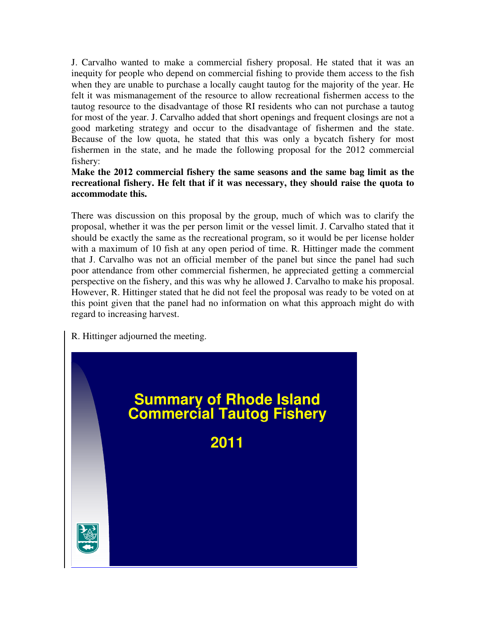J. Carvalho wanted to make a commercial fishery proposal. He stated that it was an inequity for people who depend on commercial fishing to provide them access to the fish when they are unable to purchase a locally caught tautog for the majority of the year. He felt it was mismanagement of the resource to allow recreational fishermen access to the tautog resource to the disadvantage of those RI residents who can not purchase a tautog for most of the year. J. Carvalho added that short openings and frequent closings are not a good marketing strategy and occur to the disadvantage of fishermen and the state. Because of the low quota, he stated that this was only a bycatch fishery for most fishermen in the state, and he made the following proposal for the 2012 commercial fishery:

#### **Make the 2012 commercial fishery the same seasons and the same bag limit as the recreational fishery. He felt that if it was necessary, they should raise the quota to accommodate this.**

There was discussion on this proposal by the group, much of which was to clarify the proposal, whether it was the per person limit or the vessel limit. J. Carvalho stated that it should be exactly the same as the recreational program, so it would be per license holder with a maximum of 10 fish at any open period of time. R. Hittinger made the comment that J. Carvalho was not an official member of the panel but since the panel had such poor attendance from other commercial fishermen, he appreciated getting a commercial perspective on the fishery, and this was why he allowed J. Carvalho to make his proposal. However, R. Hittinger stated that he did not feel the proposal was ready to be voted on at this point given that the panel had no information on what this approach might do with regard to increasing harvest.

R. Hittinger adjourned the meeting.

# **Summary of Rhode Island Commercial Tautog Fishery**

**2011**

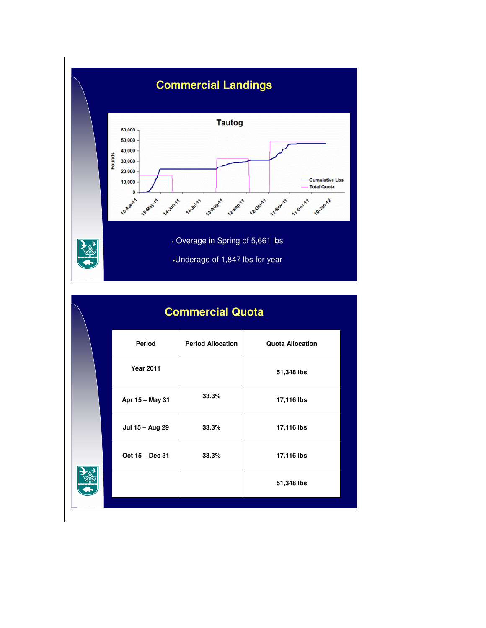

| <b>Commercial Quota</b> |                          |                         |  |
|-------------------------|--------------------------|-------------------------|--|
| Period                  | <b>Period Allocation</b> | <b>Quota Allocation</b> |  |
| <b>Year 2011</b>        |                          | 51,348 lbs              |  |
| Apr 15 - May 31         | 33.3%                    | 17,116 lbs              |  |
| Jul 15 - Aug 29         | 33.3%                    | 17,116 lbs              |  |
| Oct 15 - Dec 31         | 33.3%                    | 17,116 lbs              |  |
|                         |                          | 51,348 lbs              |  |
|                         |                          |                         |  |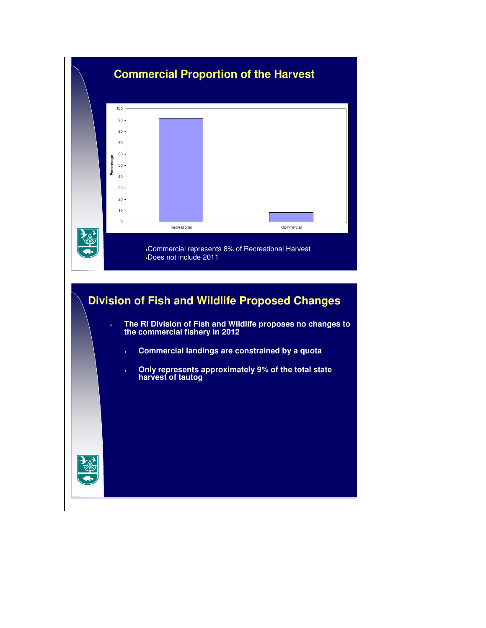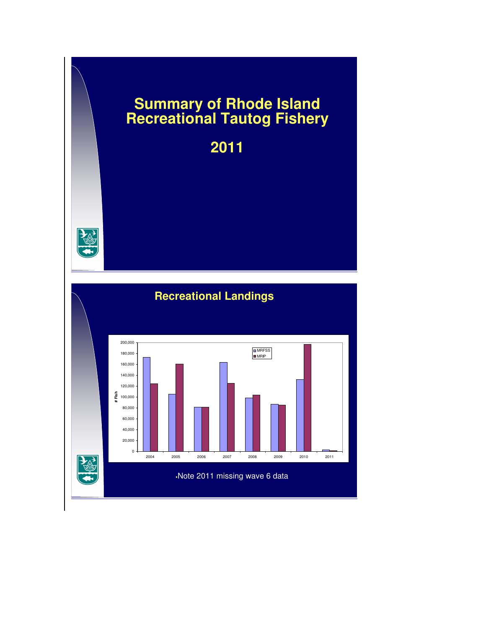## **Summary of Rhode Island Recreational Tautog Fishery**

**2011**



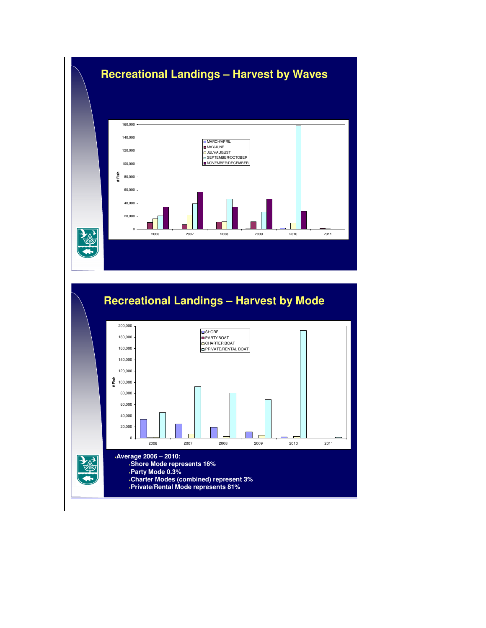

## **Recreational Landings – Harvest by Mode**

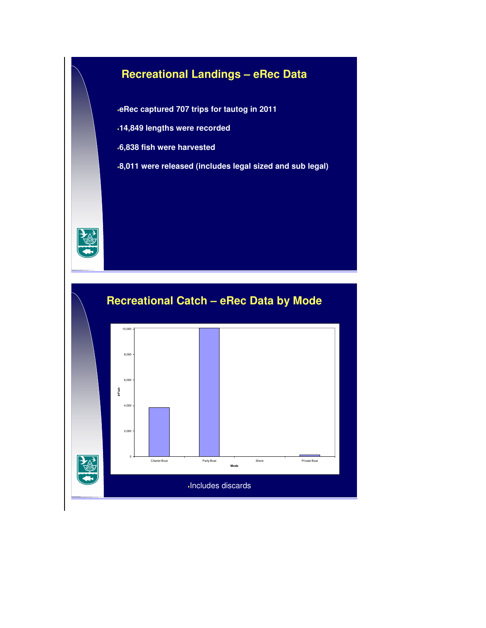## **Recreational Landings – eRec Data**

**eRec captured 707 trips for tautog in 2011**

- **14,849 lengths were recorded**
- **6,838 fish were harvested**
- **8,011 were released (includes legal sized and sub legal)**



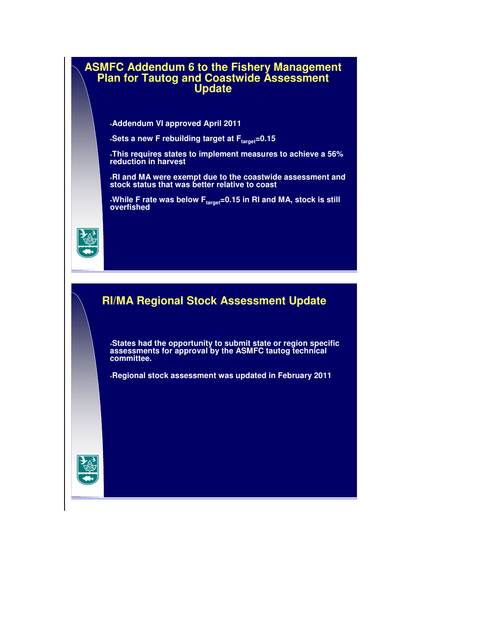#### **ASMFC Addendum 6 to the Fishery Management Plan for Tautog and Coastwide Assessment Update**

**Addendum VI approved April 2011**

**Sets a new F rebuilding target at Ftarget=0.15**

**This requires states to implement measures to achieve a 56% reduction in harvest**

**RI and MA were exempt due to the coastwide assessment and stock status that was better relative to coast**

**While F rate was below Ftarget=0.15 in RI and MA, stock is still overfished**



#### **RI/MA Regional Stock Assessment Update**

**States had the opportunity to submit state or region specific assessments for approval by the ASMFC tautog technical committee.**

**Regional stock assessment was updated in February 2011**

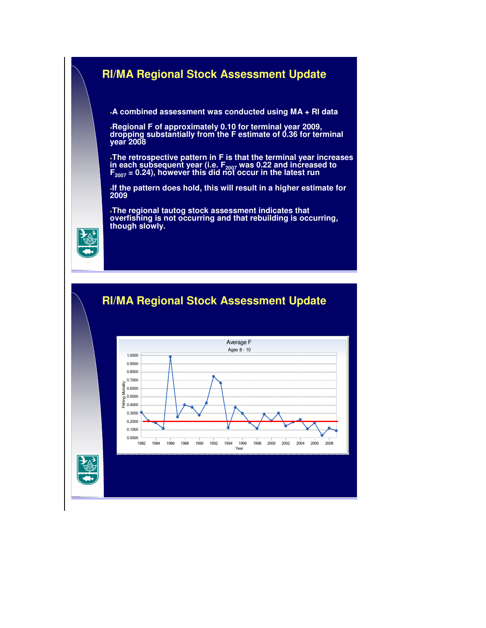

**The regional tautog stock assessment indicates that overfishing is not occurring and that rebuilding is occurring, though slowly.**



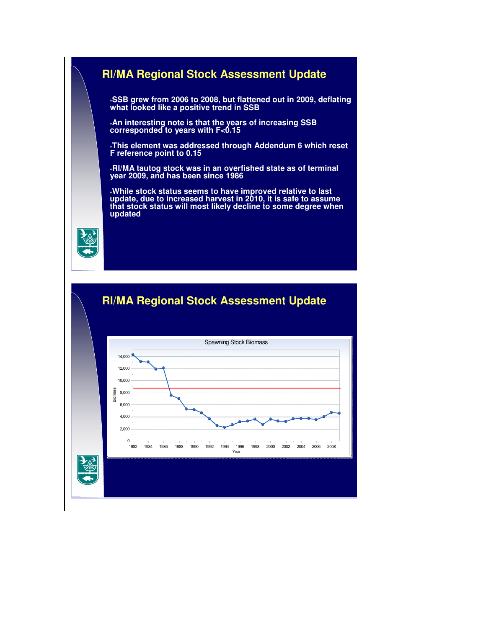

**SSB grew from 2006 to 2008, but flattened out in 2009, deflating what looked like a positive trend in SSB**

**An interesting note is that the years of increasing SSB corresponded to years with F<0.15**

**This element was addressed through Addendum 6 which reset F reference point to 0.15** 

**RI/MA tautog stock was in an overfished state as of terminal year 2009, and has been since 1986**

**While stock status seems to have improved relative to last update, due to increased harvest in 2010, it is safe to assume that stock status will most likely decline to some degree when updated**





### **RI/MA Regional Stock Assessment Update**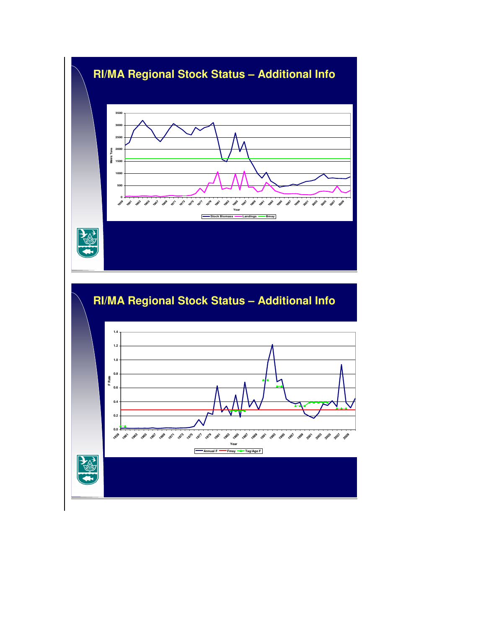## **RI/MA Regional Stock Status – Additional Info** <br>Detrice<br>**Metric Tons**<br>Metric Tons

**Year Stock Biomass Landings Bmsy**

 

> 

一個